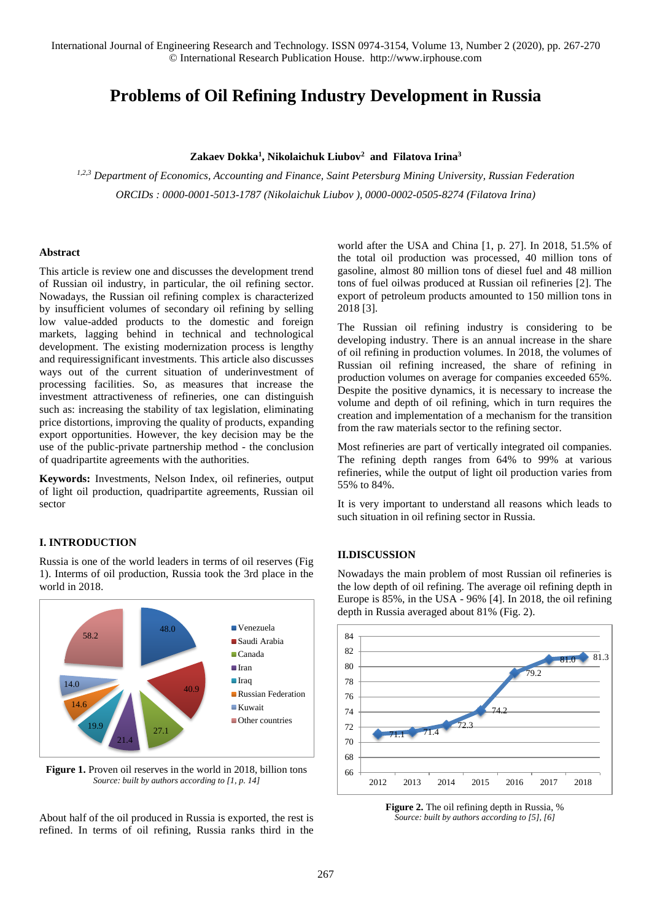International Journal of Engineering Research and Technology. ISSN 0974-3154, Volume 13, Number 2 (2020), pp. 267-270 © International Research Publication House. http://www.irphouse.com

# **Problems of Oil Refining Industry Development in Russia**

## **Zakaev Dokka<sup>1</sup> , Nikolaichuk Liubov<sup>2</sup> and Filatova Irina<sup>3</sup>**

*1,2,3 Department of Economics, Accounting and Finance, Saint Petersburg Mining University, Russian Federation ORCIDs : 0000-0001-5013-1787 (Nikolaichuk Liubov ), 0000-0002-0505-8274 (Filatova Irina)*

#### **Abstract**

This article is review one and discusses the development trend of Russian oil industry, in particular, the oil refining sector. Nowadays, the Russian oil refining complex is characterized by insufficient volumes of secondary oil refining by selling low value-added products to the domestic and foreign markets, lagging behind in technical and technological development. The existing modernization process is lengthy and requiressignificant investments. This article also discusses ways out of the current situation of underinvestment of processing facilities. So, as measures that increase the investment attractiveness of refineries, one can distinguish such as: increasing the stability of tax legislation, eliminating price distortions, improving the quality of products, expanding export opportunities. However, the key decision may be the use of the public-private partnership method - the conclusion of quadripartite agreements with the authorities.

**Keywords:** Investments, Nelson Index, oil refineries, output of light oil production, quadripartite agreements, Russian oil sector

## **I. INTRODUCTION**

Russia is one of the world leaders in terms of oil reserves (Fig 1). Interms of oil production, Russia took the 3rd place in the world in 2018.



Figure 1. Proven oil reserves in the world in 2018, billion tons *Source: built by authors according to [1, p. 14]*

About half of the oil produced in Russia is exported, the rest is refined. In terms of oil refining, Russia ranks third in the world after the USA and China [1, p. 27]. In 2018, 51.5% of the total oil production was processed, 40 million tons of gasoline, almost 80 million tons of diesel fuel and 48 million tons of fuel oilwas produced at Russian oil refineries [2]. The export of petroleum products amounted to 150 million tons in 2018 [3].

The Russian oil refining industry is considering to be developing industry. There is an annual increase in the share of oil refining in production volumes. In 2018, the volumes of Russian oil refining increased, the share of refining in production volumes on average for companies exceeded 65%. Despite the positive dynamics, it is necessary to increase the volume and depth of oil refining, which in turn requires the creation and implementation of a mechanism for the transition from the raw materials sector to the refining sector.

Most refineries are part of vertically integrated oil companies. The refining depth ranges from 64% to 99% at various refineries, while the output of light oil production varies from 55% to 84%.

It is very important to understand all reasons which leads to such situation in oil refining sector in Russia.

### **II.DISCUSSION**

Nowadays the main problem of most Russian oil refineries is the low depth of oil refining. The average oil refining depth in Europe is 85%, in the USA - 96% [4]. In 2018, the oil refining depth in Russia averaged about 81% (Fig. 2).



**Figure 2.** The oil refining depth in Russia, % *Source: built by authors according to [5], [6]*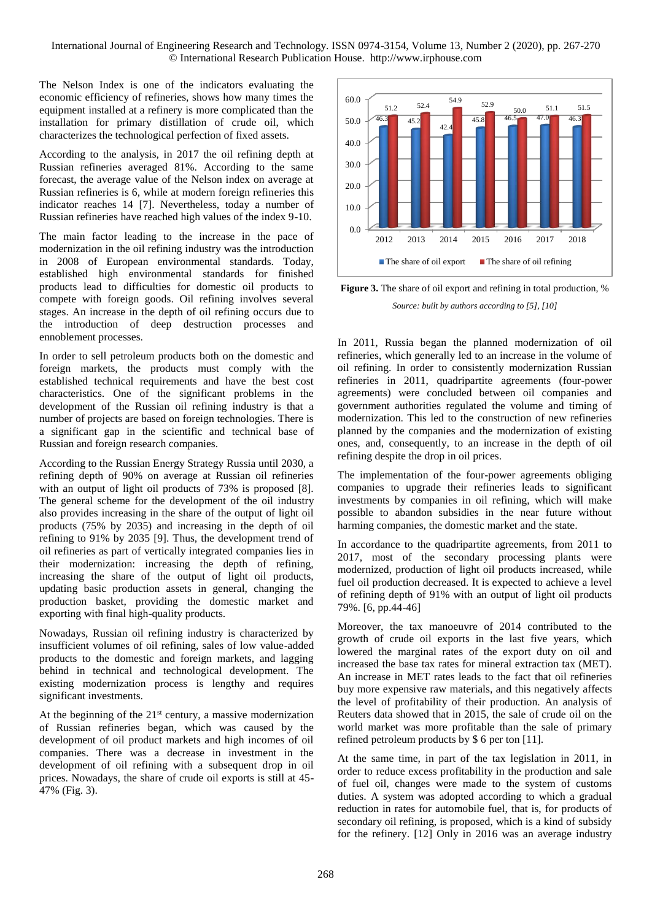The Nelson Index is one of the indicators evaluating the economic efficiency of refineries, shows how many times the equipment installed at a refinery is more complicated than the installation for primary distillation of crude oil, which characterizes the technological perfection of fixed assets.

According to the analysis, in 2017 the oil refining depth at Russian refineries averaged 81%. According to the same forecast, the average value of the Nelson index on average at Russian refineries is 6, while at modern foreign refineries this indicator reaches 14 [7]. Nevertheless, today a number of Russian refineries have reached high values of the index 9-10.

The main factor leading to the increase in the pace of modernization in the oil refining industry was the introduction in 2008 of European environmental standards. Today, established high environmental standards for finished products lead to difficulties for domestic oil products to compete with foreign goods. Oil refining involves several stages. An increase in the depth of oil refining occurs due to the introduction of deep destruction processes and ennoblement processes.

In order to sell petroleum products both on the domestic and foreign markets, the products must comply with the established technical requirements and have the best cost characteristics. One of the significant problems in the development of the Russian oil refining industry is that a number of projects are based on foreign technologies. There is a significant gap in the scientific and technical base of Russian and foreign research companies.

According to the Russian Energy Strategy Russia until 2030, a refining depth of 90% on average at Russian oil refineries with an output of light oil products of 73% is proposed [8]. The general scheme for the development of the oil industry also provides increasing in the share of the output of light oil products (75% by 2035) and increasing in the depth of oil refining to 91% by 2035 [9]. Thus, the development trend of oil refineries as part of vertically integrated companies lies in their modernization: increasing the depth of refining, increasing the share of the output of light oil products, updating basic production assets in general, changing the production basket, providing the domestic market and exporting with final high-quality products.

Nowadays, Russian oil refining industry is characterized by insufficient volumes of oil refining, sales of low value-added products to the domestic and foreign markets, and lagging behind in technical and technological development. The existing modernization process is lengthy and requires significant investments.

At the beginning of the  $21<sup>st</sup>$  century, a massive modernization of Russian refineries began, which was caused by the development of oil product markets and high incomes of oil companies. There was a decrease in investment in the development of oil refining with a subsequent drop in oil prices. Nowadays, the share of crude oil exports is still at 45- 47% (Fig. 3).



**Figure 3.** The share of oil export and refining in total production, % *Source: built by authors according to [5], [10]*

In 2011, Russia began the planned modernization of oil refineries, which generally led to an increase in the volume of oil refining. In order to consistently modernization Russian refineries in 2011, quadripartite agreements (four-power agreements) were concluded between oil companies and government authorities regulated the volume and timing of modernization. This led to the construction of new refineries planned by the companies and the modernization of existing ones, and, consequently, to an increase in the depth of oil refining despite the drop in oil prices.

The implementation of the four-power agreements obliging companies to upgrade their refineries leads to significant investments by companies in oil refining, which will make possible to abandon subsidies in the near future without harming companies, the domestic market and the state.

In accordance to the quadripartite agreements, from 2011 to 2017, most of the secondary processing plants were modernized, production of light oil products increased, while fuel oil production decreased. It is expected to achieve a level of refining depth of 91% with an output of light oil products 79%. [6, pp.44-46]

Moreover, the tax manoeuvre of 2014 contributed to the growth of crude oil exports in the last five years, which lowered the marginal rates of the export duty on oil and increased the base tax rates for mineral extraction tax (MET). An increase in MET rates leads to the fact that oil refineries buy more expensive raw materials, and this negatively affects the level of profitability of their production. An analysis of Reuters data showed that in 2015, the sale of crude oil on the world market was more profitable than the sale of primary refined petroleum products by \$ 6 per ton [11].

At the same time, in part of the tax legislation in 2011, in order to reduce excess profitability in the production and sale of fuel oil, changes were made to the system of customs duties. A system was adopted according to which a gradual reduction in rates for automobile fuel, that is, for products of secondary oil refining, is proposed, which is a kind of subsidy for the refinery. [12] Only in 2016 was an average industry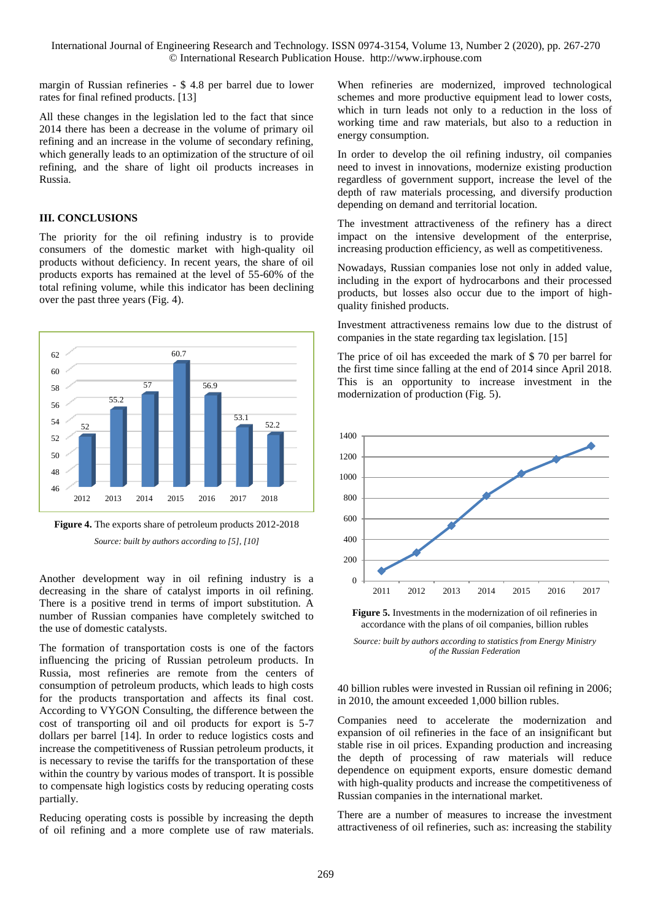International Journal of Engineering Research and Technology. ISSN 0974-3154, Volume 13, Number 2 (2020), pp. 267-270 © International Research Publication House. http://www.irphouse.com

margin of Russian refineries - \$ 4.8 per barrel due to lower rates for final refined products. [13]

All these changes in the legislation led to the fact that since 2014 there has been a decrease in the volume of primary oil refining and an increase in the volume of secondary refining, which generally leads to an optimization of the structure of oil refining, and the share of light oil products increases in Russia.

#### **III. CONCLUSIONS**

The priority for the oil refining industry is to provide consumers of the domestic market with high-quality oil products without deficiency. In recent years, the share of oil products exports has remained at the level of 55-60% of the total refining volume, while this indicator has been declining over the past three years (Fig. 4).





Another development way in oil refining industry is a decreasing in the share of catalyst imports in oil refining. There is a positive trend in terms of import substitution. A number of Russian companies have completely switched to the use of domestic catalysts.

The formation of transportation costs is one of the factors influencing the pricing of Russian petroleum products. In Russia, most refineries are remote from the centers of consumption of petroleum products, which leads to high costs for the products transportation and affects its final cost. According to VYGON Consulting, the difference between the cost of transporting oil and oil products for export is 5-7 dollars per barrel [14]. In order to reduce logistics costs and increase the competitiveness of Russian petroleum products, it is necessary to revise the tariffs for the transportation of these within the country by various modes of transport. It is possible to compensate high logistics costs by reducing operating costs partially.

Reducing operating costs is possible by increasing the depth of oil refining and a more complete use of raw materials.

When refineries are modernized, improved technological schemes and more productive equipment lead to lower costs, which in turn leads not only to a reduction in the loss of working time and raw materials, but also to a reduction in energy consumption.

In order to develop the oil refining industry, oil companies need to invest in innovations, modernize existing production regardless of government support, increase the level of the depth of raw materials processing, and diversify production depending on demand and territorial location.

The investment attractiveness of the refinery has a direct impact on the intensive development of the enterprise, increasing production efficiency, as well as competitiveness.

Nowadays, Russian companies lose not only in added value, including in the export of hydrocarbons and their processed products, but losses also occur due to the import of highquality finished products.

Investment attractiveness remains low due to the distrust of companies in the state regarding tax legislation. [15]

The price of oil has exceeded the mark of \$ 70 per barrel for the first time since falling at the end of 2014 since April 2018. This is an opportunity to increase investment in the modernization of production (Fig. 5).



**Figure 5.** Investments in the modernization of oil refineries in accordance with the plans of oil companies, billion rubles

*Source: built by authors according to statistics from Energy Ministry of the Russian Federation*

40 billion rubles were invested in Russian oil refining in 2006; in 2010, the amount exceeded 1,000 billion rubles.

Companies need to accelerate the modernization and expansion of oil refineries in the face of an insignificant but stable rise in oil prices. Expanding production and increasing the depth of processing of raw materials will reduce dependence on equipment exports, ensure domestic demand with high-quality products and increase the competitiveness of Russian companies in the international market.

There are a number of measures to increase the investment attractiveness of oil refineries, such as: increasing the stability